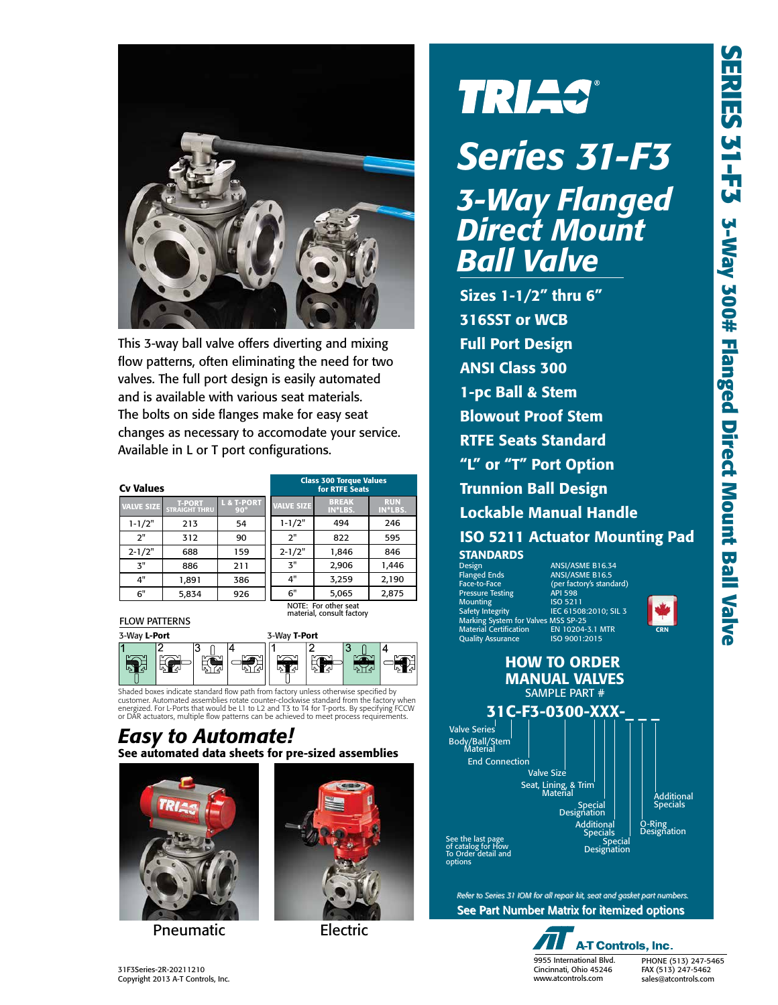

This 3-way ball valve offers diverting and mixing flow patterns, often eliminating the need for two valves. The full port design is easily automated and is available with various seat materials. The bolts on side flanges make for easy seat changes as necessary to accomodate your service. Available in L or T port configurations.

| values            |                                       |                          |  |  |  |  |  |  |
|-------------------|---------------------------------------|--------------------------|--|--|--|--|--|--|
| <b>VALVE SIZE</b> | <b>T-PORT</b><br><b>STRAIGHT THRU</b> | L & T-PORT<br>$90^\circ$ |  |  |  |  |  |  |
| $1 - 1/2"$        | 213                                   | 54                       |  |  |  |  |  |  |
| ን"                | 312                                   | 90                       |  |  |  |  |  |  |
| $2 - 1/2"$        | 688                                   | 159                      |  |  |  |  |  |  |
| 7"                | 886                                   | 211                      |  |  |  |  |  |  |
| 4"                | 1.891                                 | 386                      |  |  |  |  |  |  |
| 6"                | 5.834                                 | 926                      |  |  |  |  |  |  |

| Cv Values                                         |                                       |                                     | <b>Class 300 Torque Values</b><br>for RTFE Seats |                         |                       |  |  |
|---------------------------------------------------|---------------------------------------|-------------------------------------|--------------------------------------------------|-------------------------|-----------------------|--|--|
| <b>VALVE SIZE</b>                                 | <b>T-PORT</b><br><b>STRAIGHT THRU</b> | <b>L &amp; T-PORT</b><br>$90^\circ$ | <b>VALVE SIZE</b>                                | <b>BREAK</b><br>IN*LBS. | <b>RUN</b><br>IN*LBS. |  |  |
| $1 - 1/2"$                                        | 213                                   | 54                                  | $1 - 1/2"$                                       | 494                     | 246                   |  |  |
| 2"                                                | 312                                   | 90                                  | 2"                                               | 822                     | 595                   |  |  |
| $2 - 1/2"$                                        | 688                                   | 159                                 | $2 - 1/2"$                                       | 1,846                   | 846                   |  |  |
| 3"                                                | 886                                   | 211                                 | 3"                                               | 2,906                   | 1,446                 |  |  |
| 4"                                                | 1,891                                 | 386                                 | 4"                                               | 3,259                   | 2,190                 |  |  |
| 6"                                                | 5,834                                 | 926                                 | 6"                                               | 5,065                   | 2,875                 |  |  |
| NOTE: For other seat<br>material, consult factory |                                       |                                     |                                                  |                         |                       |  |  |

K

FLOW PATTERNS

3-Way L-Port 3-Way T-Port **R** 정선 56 n Ya **LATA** 

Shaded boxes indicate standard flow path from factory unless otherwise specified by customer. Automated assemblies rotate counter-clockwise standard from the factory when energized. For L-Ports that would be L1 to L2 and T3 to T4 for T-ports. By specifying FCCW or DAR actuators, multiple flow patterns can be achieved to meet process requirements.

#### See automated data sheets for pre-sized assemblies *Easy to Automate!*



Pneumatic Electric



# **TRIAS®**

# *Series 31-F3 3-Way Flanged Direct Mount Ball Valve*

Sizes 1-1/2" thru 6" 316SST or WCB Full Port Design ANSI Class 300 1-pc Ball & Stem Blowout Proof Stem RTFE Seats Standard "L" or "T" Port Option Trunnion Ball Design Lockable Manual Handle ISO 5211 Actuator Mounting Pad ANSI/ASME B16.34

**STANDARDS**<br>Design<br>Flanged Ends<br>Face-to-Face Flanged Ends ANSI/ASME B16.5 Face-to-Face (per factory's standard) Pressure Testing API 598 Mounting<br>Safety Integrity Marking System for Valves MSS SP-25 Material Certification EN 10204-3.1 MTR Quality Assurance ISO 9001:2015

**ISO 5211**<br>IEC 61508:2010: SIL 3



O-Ring<br>Designation

HOW TO ORDER MANUAL VALVES SAMPLE PART # 31C-F3-0300-XXX-Valve Series End Connection Valve Size Seat, Lining, & Trim<sup>'</sup><br>Material Special Designation Body/Ball/Stem Additional Specials

See the last page of catalog for How To Order detail and options

> See Part Number Matrix for itemized options See Part Number Matrix for itemized options *Refer to Series 31 IOM for all repair kit, seat and gasket part numbers. 31 IOM all repair kit, seat gasket part numbers.*



**Additiona** Specials Special Designation

> PHONE (513) 247-5465 FAX (513) 247-5462 sales@atcontrols.com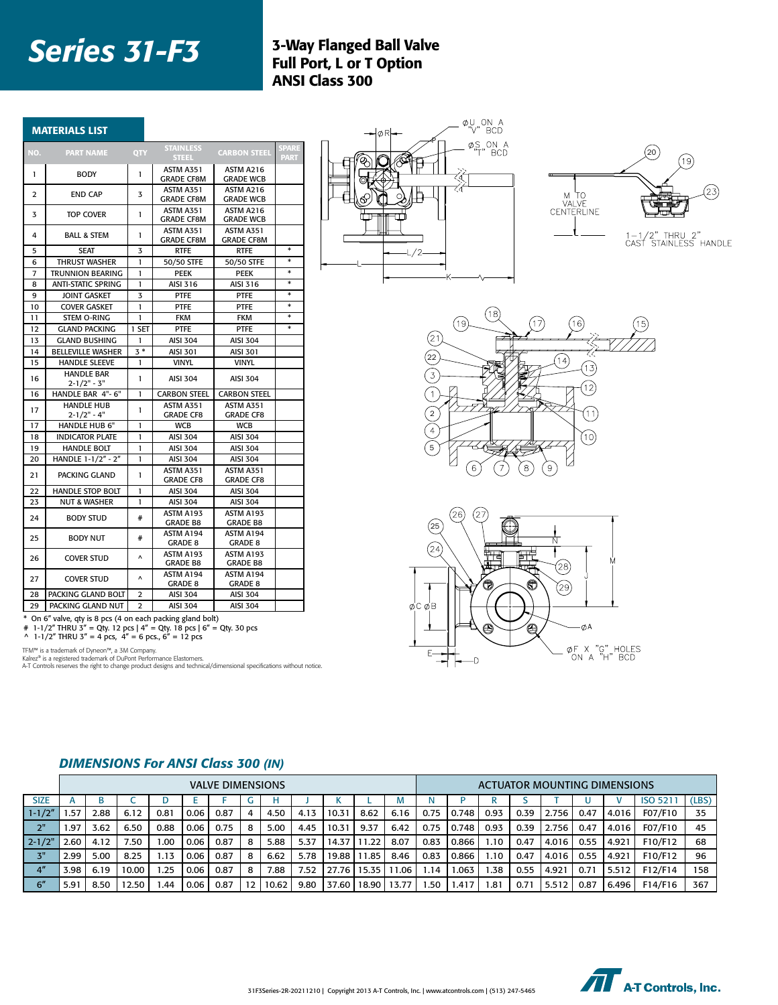## **Series 31-F3** 3-Way Flanged Ball Valve

## Full Port, L or T Option ANSI Class 300

|                | <b>MATERIALS LIST</b>                |                       |                                  |                                |             |
|----------------|--------------------------------------|-----------------------|----------------------------------|--------------------------------|-------------|
| NO.            | <b>PART NAME</b>                     | QTY                   | <b>STAINLESS</b><br><b>STEEL</b> | <b>CARBON STEEI</b>            | <b>PART</b> |
| $\mathbf{1}$   | <b>BODY</b>                          | $\mathbf{1}$          | ASTM A351<br><b>GRADE CF8M</b>   | ASTM A216<br><b>GRADE WCB</b>  |             |
| $\overline{2}$ | <b>END CAP</b>                       | 3                     | ASTM A351<br><b>GRADE CF8M</b>   | ASTM A216<br><b>GRADE WCB</b>  |             |
| 3              | <b>TOP COVER</b>                     | -1                    | ASTM A351<br><b>GRADE CF8M</b>   | ASTM A216<br><b>GRADE WCB</b>  |             |
| 4              | <b>BALL &amp; STEM</b>               | $\mathbf{1}$          | ASTM A351<br><b>GRADE CF8M</b>   | ASTM A351<br><b>GRADE CF8M</b> |             |
| 5              | <b>SEAT</b>                          | $\overline{3}$        | <b>RTFE</b>                      | <b>RTFE</b>                    | $\ast$      |
| 6              | <b>THRUST WASHER</b>                 | $\mathbf{1}$          | 50/50 STFE                       | 50/50 STFE                     | $\ast$      |
| $\overline{7}$ | <b>TRUNNION BEARING</b>              | $\mathbf{1}$          | PEEK                             | PEEK                           | $\ast$      |
| 8              | <b>ANTI-STATIC SPRING</b>            | $\mathbf{1}$          | AISI 316                         | AISI 316                       | $\ast$      |
| 9              | <b>JOINT GASKET</b>                  | $\overline{3}$        | <b>PTFE</b>                      | <b>PTFE</b>                    | $\ast$      |
| 10             | <b>COVER GASKET</b>                  | $\mathbf{1}$          | <b>PTFE</b>                      | <b>PTFE</b>                    | $\ast$      |
| 11             | STEM O-RING                          | $\mathbf{1}$          | <b>FKM</b>                       | <b>FKM</b>                     | $\ast$      |
| 12             | <b>GLAND PACKING</b>                 | 1 SET                 | PTFE                             | <b>PTFE</b>                    | $\ast$      |
| 13             | <b>GLAND BUSHING</b>                 | $\mathbf{1}$          | AISI 304                         | <b>AISI 304</b>                |             |
| 14             | <b>BELLEVILLE WASHER</b>             | $3*$                  | AISI 301                         | AISI 301                       |             |
| 15             | <b>HANDLE SLEEVE</b>                 | $\mathbf{1}$          | <b>VINYL</b>                     | <b>VINYL</b>                   |             |
| 16             | <b>HANDLE BAR</b><br>$2 - 1/2" - 3"$ | $\mathbf{1}$          | AISI 304                         | <b>AISI 304</b>                |             |
| 16             | HANDLE BAR 4"- 6"                    | $\mathbf{1}$          | <b>CARBON STEEL</b>              | <b>CARBON STEEL</b>            |             |
| 17             | <b>HANDLE HUB</b>                    | $\mathbf{1}$          | ASTM A351                        | ASTM A351                      |             |
|                | $2 - 1/2" - 4"$                      |                       | <b>GRADE CF8</b>                 | <b>GRADE CF8</b>               |             |
| 17             | <b>HANDLE HUB 6"</b>                 | $\mathbf{1}$          | <b>WCB</b>                       | <b>WCB</b>                     |             |
| 18             | <b>INDICATOR PLATE</b>               | $\mathbf{1}$          | <b>AISI 304</b>                  | <b>AISI 304</b>                |             |
| 19             | <b>HANDLE BOLT</b>                   | $\mathbf{1}$          | <b>AISI 304</b>                  | <b>AISI 304</b>                |             |
| 20             | HANDLE 1-1/2" - 2"                   | $\mathbf{1}$          | <b>AISI 304</b>                  | <b>AISI 304</b>                |             |
| 21             | PACKING GLAND                        | $\mathbf{1}$          | ASTM A351<br><b>GRADE CF8</b>    | ASTM A351<br><b>GRADE CF8</b>  |             |
| 22             | <b>HANDLE STOP BOLT</b>              | $\mathbf{1}$          | AISI 304                         | AISI 304                       |             |
| 23             | <b>NUT &amp; WASHER</b>              | $\mathbf{1}$          | AISI 304                         | <b>AISI 304</b>                |             |
| 24             | <b>BODY STUD</b>                     | #                     | ASTM A193<br><b>GRADE B8</b>     | ASTM A193<br><b>GRADE B8</b>   |             |
| 25             | <b>BODY NUT</b>                      | #                     | ASTM A194<br><b>GRADE 8</b>      | ASTM A194<br><b>GRADE 8</b>    |             |
| 26             | <b>COVER STUD</b>                    | $\boldsymbol{\wedge}$ | ASTM A193<br><b>GRADE B8</b>     | ASTM A193<br><b>GRADE B8</b>   |             |
| 27             | <b>COVER STUD</b>                    | $\boldsymbol{\wedge}$ | ASTM A194<br><b>GRADE 8</b>      | ASTM A194<br><b>GRADE 8</b>    |             |
| 28             | PACKING GLAND BOLT                   | $\overline{2}$        | AISI 304                         | <b>AISI 304</b>                |             |
| 29             | PACKING GLAND NUT                    | $\overline{2}$        | <b>AISI 304</b>                  | <b>AISI 304</b>                |             |

\* On 6" valve, qty is 8 pcs (4 on each packing gland bolt)<br># 1-1/2" THRU 3" = Qty. 12 pcs | 4" = Qty. 18 pcs | 6" = Qty. 30 pcs<br>^ 1-1/2" THRU 3" = 4 pcs, 4" = 6 pcs., 6" = 12 pcs

TFM™ is a trademark of Dyneon™, a 3M Company.<br>Kalrez® is a registered trademark of DuPont Performance Elastomers.<br>A-T Controls reserves the right to change product designs and technical/dimensional specifications without n

*DIMENSIONS For ANSI Class 300 (IN)*

|                 | <b>VALVE DIMENSIONS</b> |      |       |      |      |      |   |       |      |       |       |       |      |       | ACTUATOR MOUNTING DIMENSIONS |      |       |      |       |                |       |
|-----------------|-------------------------|------|-------|------|------|------|---|-------|------|-------|-------|-------|------|-------|------------------------------|------|-------|------|-------|----------------|-------|
| <b>SIZE</b>     |                         | В    |       |      |      |      |   |       |      |       |       | Iνı   |      |       |                              |      |       |      |       | <b>ISO 521</b> | (LBS) |
| $1 - 1/2"$      | .57                     | 2.88 | 6.12  | 0.81 | 0.06 | 0.87 | 4 | 4.50  | 4.13 | 10.31 | 8.62  | 6.16  | 0.75 | 0.748 | 0.93                         | 0.39 | 2.756 | 0.47 | 4.016 | F07/F10        | 35    |
| 2"              | .97                     | 3.62 | 6.50  | 0.88 | 0.06 | 0.75 | 8 | 5.00  | 4.45 | 10.31 | 9.37  | 6.42  | 0.75 | 0.748 | 0.93                         | 0.39 | 2.756 | 0.47 | 4.016 | F07/F10        | 45    |
| $2 - 1/2$       | 2.60                    | 4.12 | 7.50  | .00  | 0.06 | 0.87 | 8 | 5.88  | 5.37 | 14.37 | 1.22  | 8.07  | 0.83 | 0.866 | 1.10                         | 0.47 | 4.016 | 0.55 | 4.921 | F10/F12        | 68    |
| 3"              | 2.99                    | 5.00 | 8.25  | 1.13 | 0.06 | 0.87 | 8 | 6.62  | 5.78 | 19.88 | 1.85  | 8.46  | 0.83 | 0.866 | 1.10                         | 0.47 | 4.016 | 0.55 | 4.921 | F10/F12        | 96    |
| 4 <sup>''</sup> | 3.98                    | 6.19 | 10.00 | .25  | 0.06 | 0.87 | 8 | 7.88  | 7.52 | 27.76 | 15.35 | .06   | .14  | .063  | 1.38                         | 0.55 | 4.921 | 0.71 | 5.512 | F12/F14        | 158   |
| 6''             | 5.91                    | 8.50 | '2.50 | .44  | 0.06 | 0.87 |   | 10.62 | 9.80 | 37.60 | 18.90 | 13.77 | 50.، | .41   | 1.81                         | 0.7  | 5.51  | 0.87 | 6.496 | F14/F16        | 367   |



-ØA

ØF X "G" HOLES<br>ON A "H" BCD

2" THRU 2"<br>STAINLESS HANDLE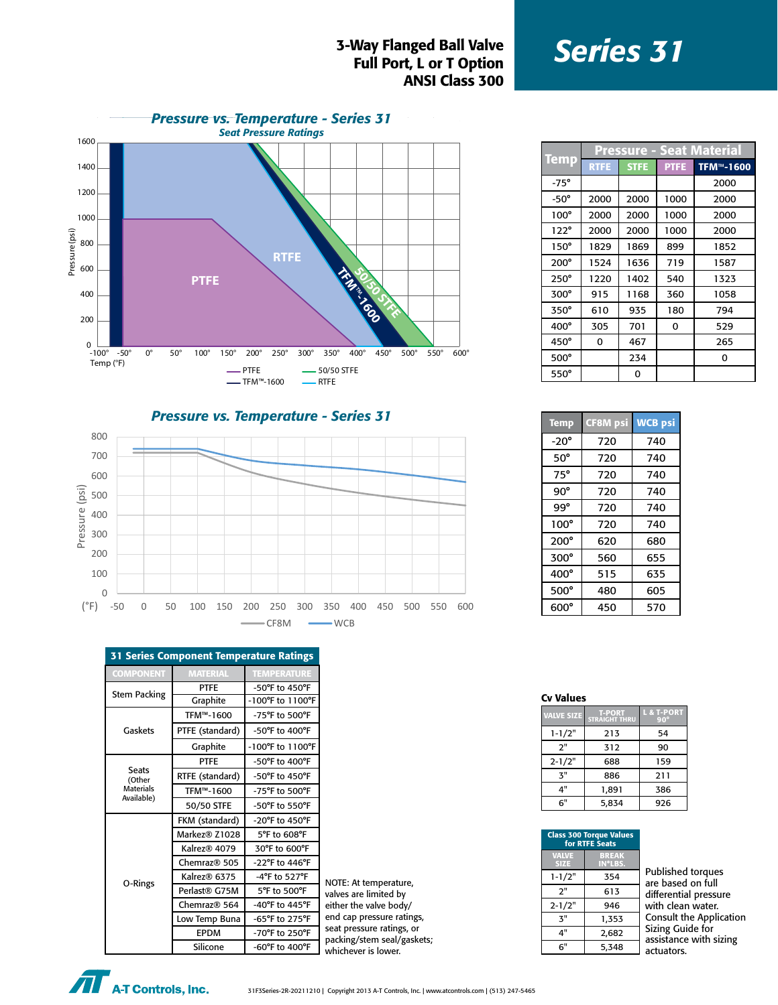#### *Series 31* 3-Way Flanged Ball Valve Full Port, L or T Option ANSI Class 300



Pressure - Seat Materia<br>Temp Ratre Stre PTFE TFM™-16 TFM™-1600 -75° | | | | 2000 -50° 2000 2000 1000 2000 100° | 2000 | 2000 | 1000 | 2000 122° | 2000 | 2000 | 1000 | 2000 150° 1829 1869 899 1852 200° 1524 1636 719 1587 250° 1220 1402 540 1323 300° 915 1168 360 1058 350° 610 935 180 794 400° 305 701 0 529 450° 0 467 265 500° | 234 | 0 550° 0

*Pressure vs. Temperature - Series 31*



| $50^\circ$  | 720 | 740 |
|-------------|-----|-----|
| $75^\circ$  | 720 | 740 |
| 90°         | 720 | 740 |
| $99^\circ$  | 720 | 740 |
| $100^\circ$ | 720 | 740 |
| $200^\circ$ | 620 | 680 |
| $300^\circ$ | 560 | 655 |
| $400^\circ$ | 515 | 635 |
| $500^\circ$ | 480 | 605 |
| $600^\circ$ | 450 | 570 |
|             |     |     |

Temp CF8M psi WCB psi  $-20^\circ$  720 740

| <b>VALVE SIZE</b> | <b>T-PORT</b><br><b>STRAIGHT THRU</b> | <b>L &amp; T-PORT</b><br>$90^\circ$ |
|-------------------|---------------------------------------|-------------------------------------|
| $1 - 1/2"$        | 213                                   | 54                                  |
| ን"                | 312                                   | 90                                  |
| $2 - 1/2"$        | 688                                   | 159                                 |
| $\mathbf{z}$ "    | 886                                   | 211                                 |
| 4"                | 1.891                                 | 386                                 |
| 6"                | 5,834                                 | 926                                 |

| <b>Class 300 Torque Values</b><br>for RTFE Seats |                         |                        |
|--------------------------------------------------|-------------------------|------------------------|
| <b>VALVE</b><br><b>SIZE</b>                      | <b>BREAK</b><br>IN*LBS. |                        |
| $1 - 1/2"$                                       | 354                     | Publishe<br>are base   |
| 2"                                               | 613                     | differenti             |
| $2 - 1/2"$                                       | 946                     | with clea              |
| $\mathbf{z}$ "                                   | 1,353                   | Consult t              |
| 4"                                               | 2,682                   | Sizing Gu<br>assistanc |
| 6"                                               | 5,348                   | actuators              |
|                                                  |                         |                        |

| Published torques              |
|--------------------------------|
| are based on full              |
| differential pressure          |
| with clean water.              |
| <b>Consult the Application</b> |
| Sizing Guide for               |
| assistance with sizing         |
| actuators.                     |
|                                |

| <b>31 Series Component Temperature Ratings</b> |                           |                                      |  |  |  |  |
|------------------------------------------------|---------------------------|--------------------------------------|--|--|--|--|
| <b>COMPONENT</b>                               | <b>MATERIAL</b>           | <b>TEMPERATURE</b>                   |  |  |  |  |
|                                                | <b>PTFE</b>               | -50°F to 450°F                       |  |  |  |  |
| <b>Stem Packing</b>                            | Graphite                  | $-100^{\circ}$ F to $1100^{\circ}$ F |  |  |  |  |
| Gaskets                                        | TFM™-1600                 | -75°F to 500°F                       |  |  |  |  |
|                                                | PTFE (standard)           | $-50^{\circ}$ F to $400^{\circ}$ F   |  |  |  |  |
|                                                | Graphite                  | $-100^{\circ}$ F to $1100^{\circ}$ F |  |  |  |  |
|                                                | <b>PTFE</b>               | -50°F to 400°F                       |  |  |  |  |
| <b>Seats</b><br>(Other                         | RTFE (standard)           | $-50^{\circ}$ F to $450^{\circ}$ F   |  |  |  |  |
| <b>Materials</b><br>Available)                 | TFM™-1600                 | -75°F to 500°F                       |  |  |  |  |
|                                                | 50/50 STFE                | -50°F to 550°F                       |  |  |  |  |
|                                                | FKM (standard)            | -20°F to 450°F                       |  |  |  |  |
|                                                | Markez <sup>®</sup> Z1028 | 5°F to 608°F                         |  |  |  |  |
|                                                | Kalrez® 4079              | 30°F to 600°F                        |  |  |  |  |
|                                                | Chemraz® 505              | $-22^{\circ}$ F to 446 $^{\circ}$ F  |  |  |  |  |
|                                                | Kalrez® 6375              | $-4$ °F to 527°F                     |  |  |  |  |
| O-Rings                                        | Perlast <sup>®</sup> G75M | 5°F to 500°F                         |  |  |  |  |
|                                                | Chemraz <sup>®</sup> 564  | -40°F to 445°F                       |  |  |  |  |
|                                                | Low Temp Buna             | -65°F to 275°F                       |  |  |  |  |
|                                                | <b>EPDM</b>               | -70°F to 250°F                       |  |  |  |  |
|                                                | c:Bu                      | $COP_{t-1}$ $AOP_{t-1}$              |  |  |  |  |

IOTE: At temperature, alves are limited by ither the valve body/ nd cap pressure ratings, eat pressure ratings, or acking/stem seal/gaskets; Silicone | -60°F to 400°F | whichever is lower.

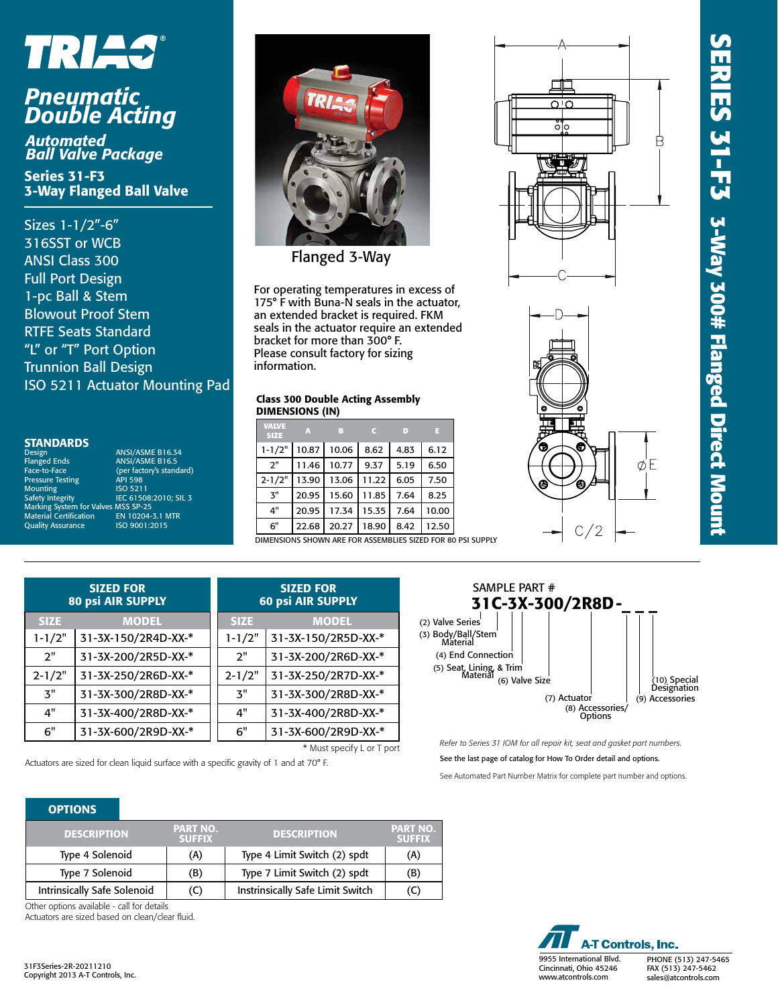# **SERIES 31-F3 3-Way 300# Flanged Direct Mount ERIES 31-F3 3-Way 300# Flanged Direct Mount**

R

øΈ

# TRIAS®

## *Pneumatic Double Acting*

*Automated Ball Valve Package*

Series 31-F3 3-Way Flanged Ball Valve

Sizes 1-1/2"-6" 316SST or WCB ANSI Class 300 Full Port Design 1-pc Ball & Stem Blowout Proof Stem RTFE Seats Standard "L" or "T" Port Option Trunnion Ball Design ISO 5211 Actuator Mounting Pad

### **STANDARDS**

Pressure Testing Testing API 598<br>Mounting 150 5211 Mounting<br>Safety Integrity

Design ANSI/ASME B16.34<br>
Flanged Ends ANSI/ASME B16.5 ANSI/ASME B16.5 Face-to-Face (per factory's standard)<br>Pressure Testing API 598 IEC 61508:2010; SIL 3 Marking System for Valves MSS SP-25 Material Certification EN 10204-3.1 MTR Quality Assurance ISO 9001:2015



Flanged 3-Way

For operating temperatures in excess of 175° F with Buna-N seals in the actuator, an extended bracket is required. FKM seals in the actuator require an extended bracket for more than 300° F. Please consult factory for sizing information.

#### Class 300 Double Acting Assembly DIMENSIONS (IN)

| А     | B     |       | D.   | н     |
|-------|-------|-------|------|-------|
| 10.87 | 10.06 | 8.62  | 4.83 | 6.12  |
| 11.46 | 10.77 | 9.37  | 5.19 | 6.50  |
| 13.90 | 13.06 | 11.22 | 6.05 | 7.50  |
| 20.95 | 15.60 | 11.85 | 7.64 | 8.25  |
| 20.95 | 17.34 | 15.35 | 7.64 | 10.00 |
| 22.68 | 20.27 | 18.90 | 8.42 | 12.50 |
|       |       |       |      |       |

DINS SHOWN ARE FOR ASSEMBLIES SIZED FOR 80 PSI SUPPLY

|             | <b>SIZED FOR</b><br>80 psi AIR SUPPLY | <b>SIZED FOR</b><br><b>60 psi AIR SUPPLY</b> |                     |  |  |  |
|-------------|---------------------------------------|----------------------------------------------|---------------------|--|--|--|
| <b>SIZE</b> | <b>MODEL</b>                          | <b>SIZE</b>                                  | <b>MODEL</b>        |  |  |  |
| $1 - 1/2"$  | 31-3X-150/2R4D-XX-*                   | $1 - 1/2"$                                   | 31-3X-150/2R5D-XX-* |  |  |  |
| 2"          | 31-3X-200/2R5D-XX-*                   | 2"                                           | 31-3X-200/2R6D-XX-* |  |  |  |
| $2 - 1/2"$  | 31-3X-250/2R6D-XX-*                   | $2 - 1/2"$                                   | 31-3X-250/2R7D-XX-* |  |  |  |
| 3"          | 31-3X-300/2R8D-XX-*                   | 3"                                           | 31-3X-300/2R8D-XX-* |  |  |  |
| 4"          | 31-3X-400/2R8D-XX-*                   | 4"                                           | 31-3X-400/2R8D-XX-* |  |  |  |
| 6"          | 31-3X-600/2R9D-XX-*                   | 6"                                           | 31-3X-600/2R9D-XX-* |  |  |  |
|             |                                       |                                              |                     |  |  |  |

\* Must specify L or T port

Actuators are sized for clean liquid surface with a specific gravity of 1 and at 70° F.



─────────  $\overline{\Omega}$ ŏ

*Refer to Series 31 IOM for all repair kit, seat and gasket part numbers.* See the last page of catalog for How To Order detail and options. See Automated Part Number Matrix for complete part number and options.

#### **OPTIONS**

| <b>DESCRIPTION</b>          | <b>PART NO.</b><br><b>SUFFIX</b> | <b>DESCRIPTION</b>               | <b>PART NO.</b><br><b>SUFFIX</b> |
|-----------------------------|----------------------------------|----------------------------------|----------------------------------|
| Type 4 Solenoid             | (A)                              | Type 4 Limit Switch (2) spdt     | (A)                              |
| Type 7 Solenoid             | (B)                              | Type 7 Limit Switch (2) spdt     | (B)                              |
| Intrinsically Safe Solenoid | (C)                              | Instrinsically Safe Limit Switch | U                                |

Other options available - call for details Actuators are sized based on clean/clear fluid.

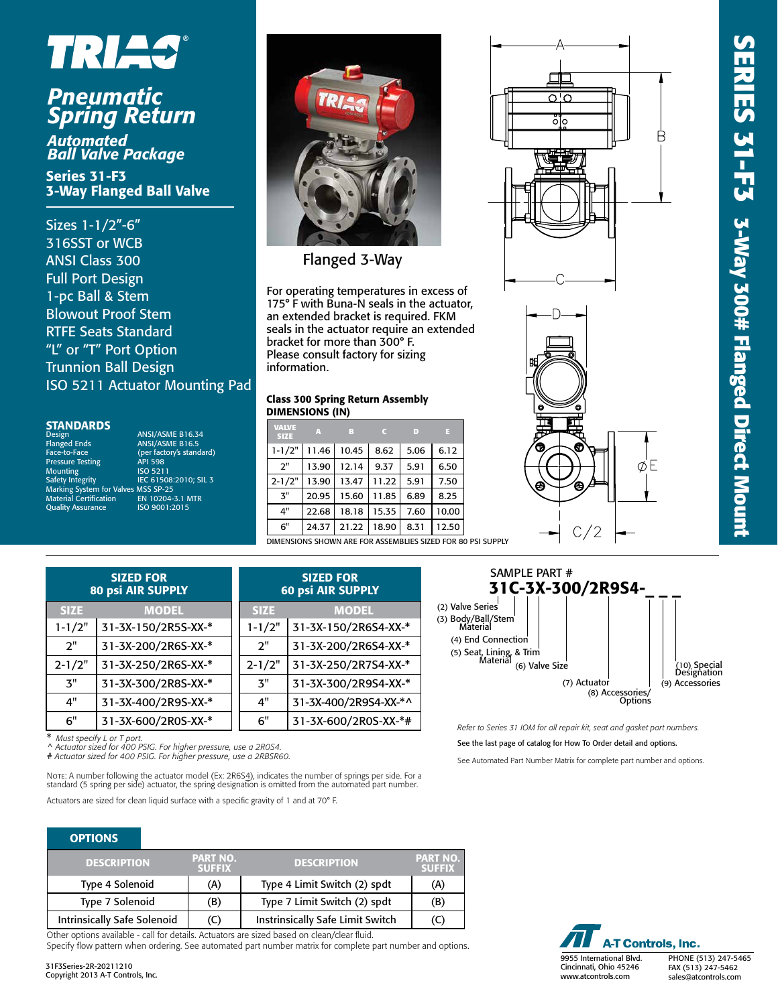

## *Pneumatic Spring Return*

*Automated Ball Valve Package*

Series 31-F3 3-Way Flanged Ball Valve

Sizes 1-1/2"-6" 316SST or WCB ANSI Class 300 Full Port Design 1-pc Ball & Stem Blowout Proof Stem RTFE Seats Standard "L" or "T" Port Option Trunnion Ball Design ISO 5211 Actuator Mounting Pad

#### **STANDARDS**

| Design                              | ANSI/ASME B16.34         |
|-------------------------------------|--------------------------|
| <b>Flanged Ends</b>                 | <b>ANSI/ASME B16.5</b>   |
| Face-to-Face                        | (per factory's standard) |
| <b>Pressure Testing</b>             | <b>API 598</b>           |
| <b>Mounting</b>                     | ISO 5211                 |
| Safety Integrity                    | IEC 61508:2010: SIL 3    |
| Marking System for Valves MSS SP-25 |                          |
| <b>Material Certification</b>       | EN 10204-3.1 MTR         |
| <b>Quality Assurance</b>            | ISO 9001:2015            |
|                                     |                          |



Flanged 3-Way

For operating temperatures in excess of 175° F with Buna-N seals in the actuator, an extended bracket is required. FKM seals in the actuator require an extended bracket for more than 300° F. Please consult factory for sizing information.

#### Class 300 Spring Return Assembly DIMENSIONS (IN)

| A     | B     |       | D    | в     |
|-------|-------|-------|------|-------|
| 11.46 | 10.45 | 8.62  | 5.06 | 6.12  |
| 13.90 | 12.14 | 9.37  | 5.91 | 6.50  |
| 13.90 | 13.47 | 11.22 | 5.91 | 7.50  |
| 20.95 | 15.60 | 11.85 | 6.89 | 8.25  |
| 22.68 | 18.18 | 15.35 | 7.60 | 10.00 |
| 24.37 | 21.22 | 18.90 | 8.31 | 12.50 |
|       |       |       |      |       |



| <b>SIZED FOR</b><br>80 psi AIR SUPPLY |                     |             | <b>SIZED FOR</b><br><b>60 psi AIR SUPPLY</b> |
|---------------------------------------|---------------------|-------------|----------------------------------------------|
| <b>SIZE</b>                           | <b>MODEL</b>        | <b>SIZE</b> | <b>MODEL</b>                                 |
| $1 - 1/2"$                            | 31-3X-150/2R5S-XX-* | $1 - 1/2"$  | 31-3X-150/2R6S4-XX-*                         |
| 2"                                    | 31-3X-200/2R6S-XX-* | 2"          | 31-3X-200/2R6S4-XX-*                         |
| $2 - 1/2"$                            | 31-3X-250/2R6S-XX-* | $2 - 1/2"$  | 31-3X-250/2R7S4-XX-*                         |
| 3"                                    | 31-3X-300/2R8S-XX-* | 3"          | 31-3X-300/2R9S4-XX-*                         |
| 4"                                    | 31-3X-400/2R9S-XX-* | 4"          | 31-3X-400/2R9S4-XX-*^                        |
| 6"                                    | 31-3X-600/2R0S-XX-* | 6"          | 31-3X-600/2R0S-XX-*#                         |

\* *Must specify L or T port.* ^ *Actuator sized for 400 PSIG. For higher pressure, use a 2R0S4.*

# *Actuator sized for 400 PSIG. For higher pressure, use a 2RBSR60.*

Note: A number following the actuator model (Ex: 2R6S<u>4</u>), indicates the number of springs per side. For a<br>standard (5 spring per side) actuator, the spring designation is omitted from the automated part number.

Actuators are sized for clean liquid surface with a specific gravity of 1 and at 70° F.

#### **OPTIONS**

| <b>DESCRIPTION</b>                 | <b>PART NO.</b><br><b>SUFFIX</b> | <b>DESCRIPTION</b>                      | <b>PART NO.</b><br><b>SUFFIX</b> |
|------------------------------------|----------------------------------|-----------------------------------------|----------------------------------|
| Type 4 Solenoid                    | (A)                              | Type 4 Limit Switch (2) spdt            | (A)                              |
| Type 7 Solenoid                    | (B)                              | Type 7 Limit Switch (2) spdt            | (B)                              |
| <b>Intrinsically Safe Solenoid</b> | (C)                              | <b>Instrinsically Safe Limit Switch</b> | (C)                              |

Other options available - call for details. Actuators are sized based on clean/clear fluid.

Specify flow pattern when ordering. See automated part number matrix for complete part number and options.







*Refer to Series 31 IOM for all repair kit, seat and gasket part numbers.*

See the last page of catalog for How To Order detail and options.

See Automated Part Number Matrix for complete part number and options.

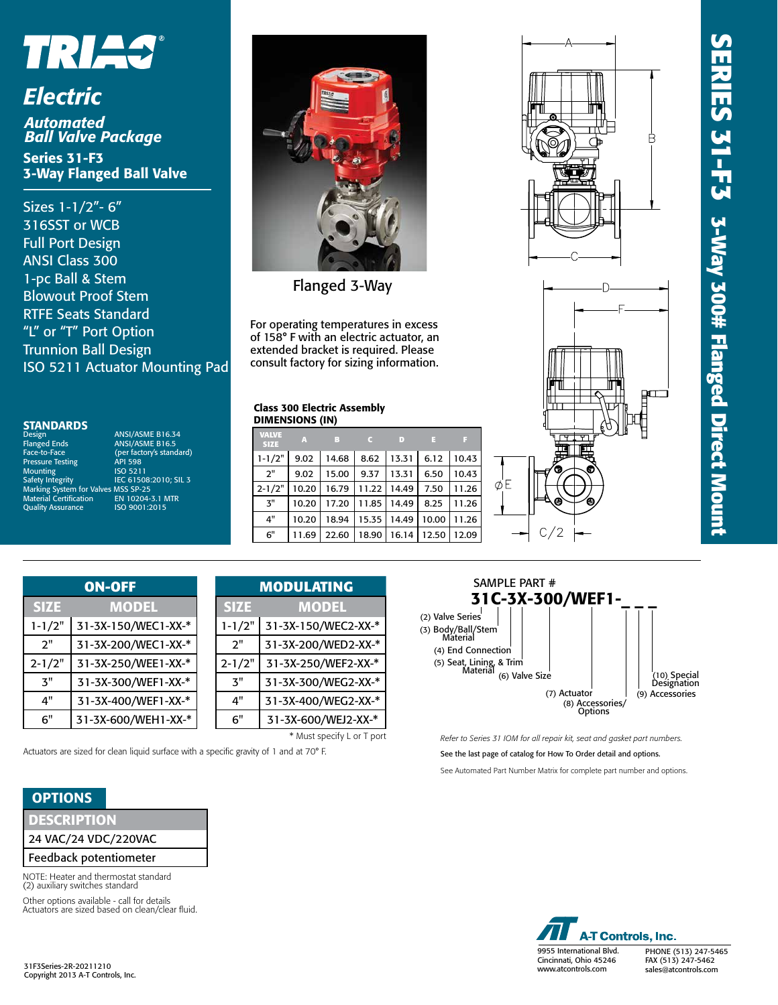



# *Electric*

*Automated Ball Valve Package* Series 31-F3 3-Way Flanged Ball Valve

Sizes 1-1/2"- 6" 316SST or WCB Full Port Design ANSI Class 300 1-pc Ball & Stem Blowout Proof Stem RTFE Seats Standard "L" or "T" Port Option Trunnion Ball Design ISO 5211 Actuator Mounting Pad

#### **STANDARDS**

Face-to-Face<br>Pressure Testing Mounting<br>Safety Integrity Marking System for Valves MSS SP-25 Material Certification **Quality Assurance** 

Design<br>
Planged Ends<br>
Flanged Ends<br>
ANSI/ASME B16.5 ANSI/ASME B16.5 Face-Brown<br>(per factory's standard)<br>API 598 ISO 5211<br>IEC 61508:2010; SIL 3



Flanged 3-Way

For operating temperatures in excess of 158° F with an electric actuator, an extended bracket is required. Please consult factory for sizing information.

#### Class 300 Electric Assembly DIMENSIONS (IN)

| <b>VALVE</b><br><b>SIZE</b> | $\mathbf{A}$ | $\overline{B}$ |       | - 10           | n a   |       |
|-----------------------------|--------------|----------------|-------|----------------|-------|-------|
| $1 - 1/2"$                  | 9.02         | 14.68          |       | $8.62$   13.31 | 6.12  | 10.43 |
| 2"                          | 9.02         | 15.00          | 9.37  | 13.31          | 6.50  | 10.43 |
| $2 - 1/2"$                  | 10.20        | 16.79          | 11.22 | 14.49          | 7.50  | 11.26 |
| 3"                          | 10.20        | 17.20          | 11.85 | 14.49          | 8.25  | 11.26 |
| 4"                          | 10.20        | 18.94          | 15.35 | 14.49          | 10.00 | 11.26 |
| 6"                          | 11.69        | 22.60          | 18.90 | 16.14          | 12.50 | 12.09 |





| <b>ON-OFF</b> |                     |  |  |
|---------------|---------------------|--|--|
| <b>SIZE</b>   | <b>MODEL</b>        |  |  |
| $1 - 1/2"$    | 31-3X-150/WEC1-XX-* |  |  |
| ን"            | 31-3X-200/WEC1-XX-* |  |  |
| $2 - 1/2"$    | 31-3X-250/WEE1-XX-* |  |  |
| ጞ"            | 31-3X-300/WEF1-XX-* |  |  |
| 4"            | 31-3X-400/WEF1-XX-* |  |  |
| 6"            | 31-3X-600/WEH1-XX-* |  |  |

| <b>ON-OFF</b>      | <b>MODULATING</b> |                     |  |
|--------------------|-------------------|---------------------|--|
| <b>MODEL</b>       | <b>SIZE</b>       | <b>MODEL</b>        |  |
| 1-3X-150/WEC1-XX-* | $1 - 1/2"$        | 31-3X-150/WEC2-XX-* |  |
| 1-3X-200/WEC1-XX-* | 2"                | 31-3X-200/WED2-XX-* |  |
| 1-3X-250/WEE1-XX-* | $2 - 1/2"$        | 31-3X-250/WEF2-XX-* |  |
| 1-3X-300/WEF1-XX-* | ጞ"                | 31-3X-300/WEG2-XX-* |  |
| 1-3X-400/WEF1-XX-* | 4"                | 31-3X-400/WEG2-XX-* |  |
| 1-3X-600/WEH1-XX-* | 6"                | 31-3X-600/WEJ2-XX-* |  |
|                    |                   |                     |  |

\* Must specify L or T port

Actuators are sized for clean liquid surface with a specific gravity of 1 and at 70° F.

#### **OPTIONS**

| <b>DESCRIPTION</b> |  |  |  |
|--------------------|--|--|--|
|                    |  |  |  |

24 VAC/24 VDC/220VAC

Feedback potentiometer

NOTE: Heater and thermostat standard (2) auxiliary switches standard

Other options available - call for details Actuators are sized based on clean/clear fluid.

31F3Series-2R-20211210 Copyright 2013 A-T Controls, Inc.



*Refer to Series 31 IOM for all repair kit, seat and gasket part numbers.*

See the last page of catalog for How To Order detail and options.

See Automated Part Number Matrix for complete part number and options.



PHONE (513) 247-5465 FAX (513) 247-5462 sales@atcontrols.com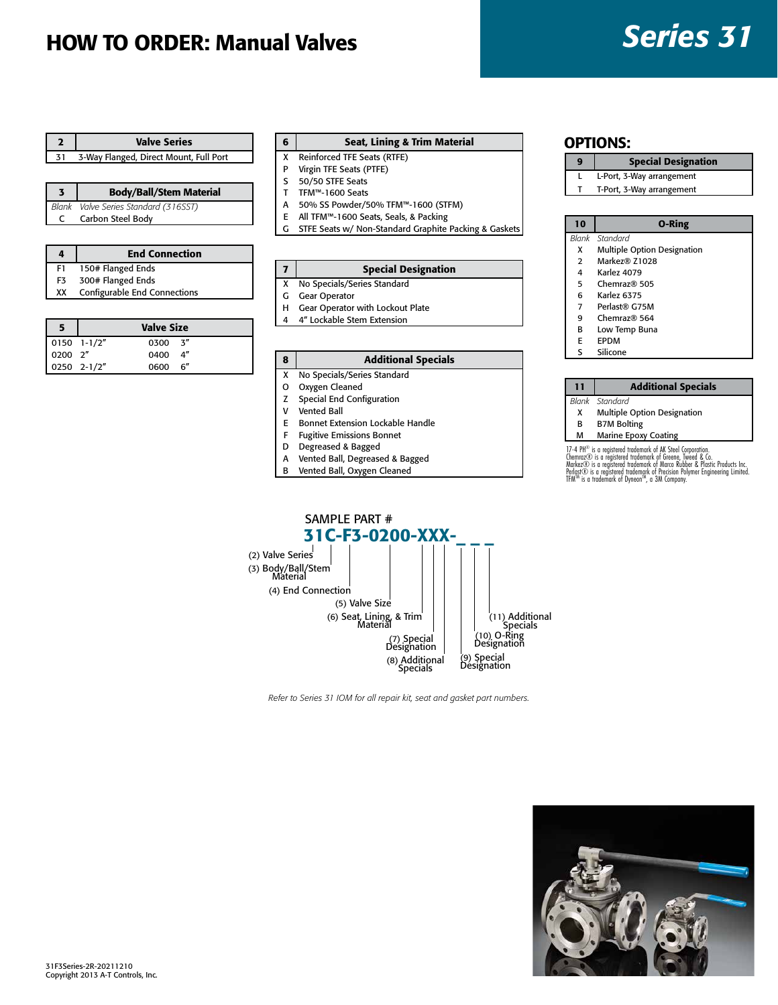## HOW TO ORDER: Manual Valves *Series 31*

|    | <b>Valve Series</b>                    |
|----|----------------------------------------|
| 31 | 3-Way Flanged, Direct Mount, Full Port |

|   | <b>Body/Ball/Stem Material</b>       |
|---|--------------------------------------|
|   | Blank Valve Series Standard (316SST) |
| C | Carbon Steel Body                    |

| 4  | <b>End Connection</b>        |
|----|------------------------------|
| F1 | 150# Flanged Ends            |
| F3 | 300# Flanged Ends            |
| XX | Configurable End Connections |
|    |                              |

|                                                                                 |             | <b>Valve Size</b> |  |
|---------------------------------------------------------------------------------|-------------|-------------------|--|
| $\begin{array}{ c c c } \hline 0150 & 1-1/2'' \\ \hline 0200 & 2'' \end{array}$ |             | $0300 - 3''$      |  |
|                                                                                 |             | 0400 4"           |  |
|                                                                                 | 0250 2-1/2" | 0600 6"           |  |

#### 6 Seat, Lining & Trim Material

- X Reinforced TFE Seats (RTFE)
- P Virgin TFE Seats (PTFE)
- S 50/50 STFE Seats
- T TFM™-1600 Seats A 50% SS Powder/50% TFM™-1600 (STFM)
- 
- E All TFM™-1600 Seats, Seals, & Packing G STFE Seats w/ Non-Standard Graphite Packing & Gaskets Blank Standard **10 O-Ring**

| 7 I | <b>Special Designation</b>    |
|-----|-------------------------------|
|     | X No Specials/Series Standard |

- G Gear Operator
- H Gear Operator with Lockout Plate
- 4 4" Lockable Stem Extension

#### 8 | Additional Specials

- X No Specials/Series Standard
- O Oxygen Cleaned
- Z Special End Configuration
- V Vented Ball
- E Bonnet Extension Lockable Handle
- F Fugitive Emissions Bonnet
- D Degreased & Bagged
- A Vented Ball, Degreased & Bagged
- B Vented Ball, Oxygen Cleaned

#### OPTIONS:

#### 9 | Special Designation

- L L-Port, 3-Way arrangement
- T T-Port, 3-Way arrangement

- *Blank Standard* X Multiple Option Designation
- 2 Markez® Z1028
- 4 Karlez 4079
- 5 Chemraz® 505
- 6 Karlez 6375
- 7 Perlast® G75M
- 9 Chemraz® 564
- B Low Temp Buna
- E EPDM
- S Silicone

#### 11 | Additional Specials *Blank Standard*

- X Multiple Option Designation
- B B7M Bolting
- M Marine Epoxy Coating
- 

17-4 PH® is a registered trademark of AK Steel Conoration.<br>Chemraz© is a registered trademark of Greene, liveed & Co.<br>Markez© is a registered trademark of Marco Rubber & Plastic Products Inc.<br>Perlast© is a registered trad



*Refer to Series 31 IOM for all repair kit, seat and gasket part numbers.*